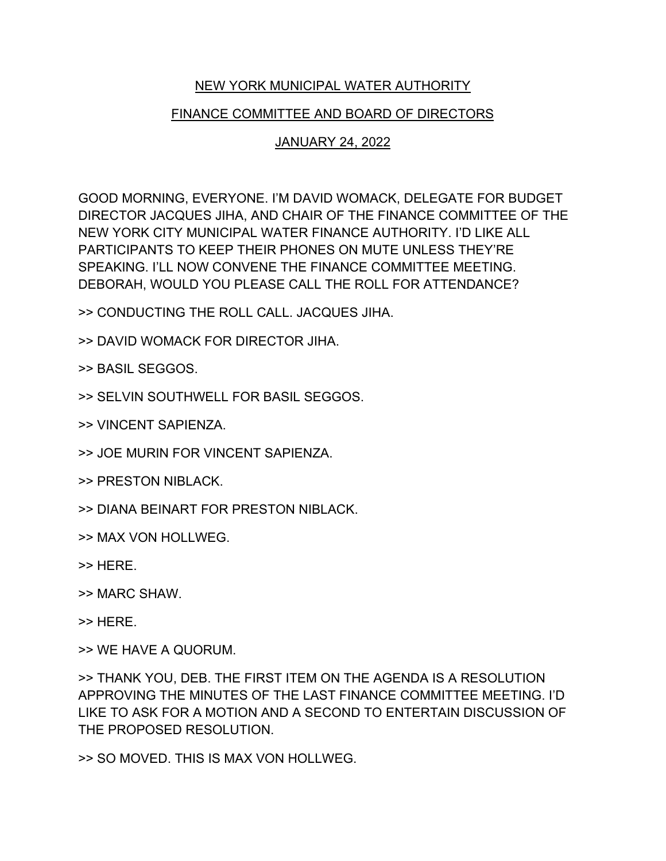## NEW YORK MUNICIPAL WATER AUTHORITY

## FINANCE COMMITTEE AND BOARD OF DIRECTORS

## JANUARY 24, 2022

GOOD MORNING, EVERYONE. I'M DAVID WOMACK, DELEGATE FOR BUDGET DIRECTOR JACQUES JIHA, AND CHAIR OF THE FINANCE COMMITTEE OF THE NEW YORK CITY MUNICIPAL WATER FINANCE AUTHORITY. I'D LIKE ALL PARTICIPANTS TO KEEP THEIR PHONES ON MUTE UNLESS THEY'RE SPEAKING. I'LL NOW CONVENE THE FINANCE COMMITTEE MEETING. DEBORAH, WOULD YOU PLEASE CALL THE ROLL FOR ATTENDANCE?

>> CONDUCTING THE ROLL CALL. JACQUES JIHA.

>> DAVID WOMACK FOR DIRECTOR JIHA.

>> BASIL SEGGOS.

>> SELVIN SOUTHWELL FOR BASIL SEGGOS.

>> VINCENT SAPIENZA.

- >> JOE MURIN FOR VINCENT SAPIENZA.
- >> PRESTON NIBLACK.
- >> DIANA BEINART FOR PRESTON NIBLACK.
- >> MAX VON HOLLWEG.
- >> HERE.
- >> MARC SHAW.
- >> HERE.

>> WE HAVE A QUORUM.

>> THANK YOU, DEB. THE FIRST ITEM ON THE AGENDA IS A RESOLUTION APPROVING THE MINUTES OF THE LAST FINANCE COMMITTEE MEETING. I'D LIKE TO ASK FOR A MOTION AND A SECOND TO ENTERTAIN DISCUSSION OF THE PROPOSED RESOLUTION.

>> SO MOVED. THIS IS MAX VON HOLLWEG.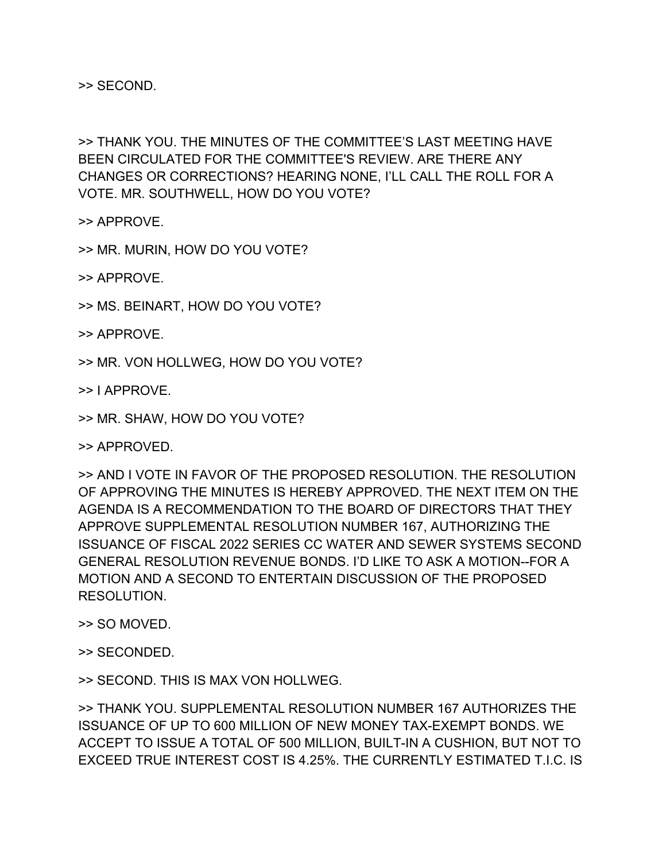>> SECOND.

>> THANK YOU. THE MINUTES OF THE COMMITTEE'S LAST MEETING HAVE BEEN CIRCULATED FOR THE COMMITTEE'S REVIEW. ARE THERE ANY CHANGES OR CORRECTIONS? HEARING NONE, I'LL CALL THE ROLL FOR A VOTE. MR. SOUTHWELL, HOW DO YOU VOTE?

>> APPROVE.

>> MR. MURIN, HOW DO YOU VOTE?

>> APPROVE.

>> MS. BEINART, HOW DO YOU VOTE?

>> APPROVE.

>> MR. VON HOLLWEG, HOW DO YOU VOTE?

>> I APPROVE.

>> MR. SHAW, HOW DO YOU VOTE?

>> APPROVED.

>> AND I VOTE IN FAVOR OF THE PROPOSED RESOLUTION. THE RESOLUTION OF APPROVING THE MINUTES IS HEREBY APPROVED. THE NEXT ITEM ON THE AGENDA IS A RECOMMENDATION TO THE BOARD OF DIRECTORS THAT THEY APPROVE SUPPLEMENTAL RESOLUTION NUMBER 167, AUTHORIZING THE ISSUANCE OF FISCAL 2022 SERIES CC WATER AND SEWER SYSTEMS SECOND GENERAL RESOLUTION REVENUE BONDS. I'D LIKE TO ASK A MOTION--FOR A MOTION AND A SECOND TO ENTERTAIN DISCUSSION OF THE PROPOSED RESOLUTION.

>> SO MOVED.

>> SECONDED.

>> SECOND. THIS IS MAX VON HOLLWEG.

>> THANK YOU. SUPPLEMENTAL RESOLUTION NUMBER 167 AUTHORIZES THE ISSUANCE OF UP TO 600 MILLION OF NEW MONEY TAX-EXEMPT BONDS. WE ACCEPT TO ISSUE A TOTAL OF 500 MILLION, BUILT-IN A CUSHION, BUT NOT TO EXCEED TRUE INTEREST COST IS 4.25%. THE CURRENTLY ESTIMATED T.I.C. IS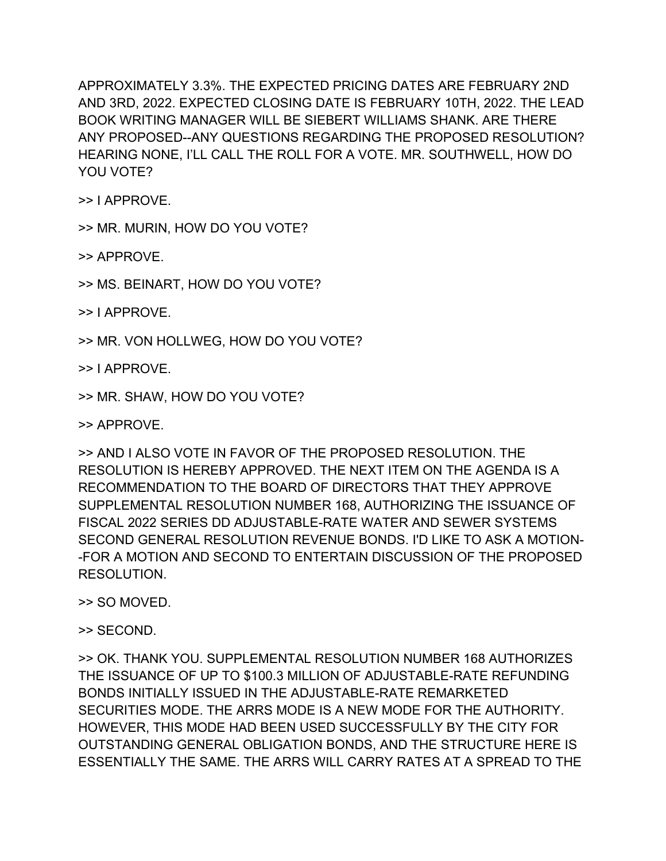APPROXIMATELY 3.3%. THE EXPECTED PRICING DATES ARE FEBRUARY 2ND AND 3RD, 2022. EXPECTED CLOSING DATE IS FEBRUARY 10TH, 2022. THE LEAD BOOK WRITING MANAGER WILL BE SIEBERT WILLIAMS SHANK. ARE THERE ANY PROPOSED--ANY QUESTIONS REGARDING THE PROPOSED RESOLUTION? HEARING NONE, I'LL CALL THE ROLL FOR A VOTE. MR. SOUTHWELL, HOW DO YOU VOTE?

>> I APPROVE.

>> MR. MURIN, HOW DO YOU VOTE?

>> APPROVE.

>> MS. BEINART, HOW DO YOU VOTE?

>> I APPROVE.

>> MR. VON HOLLWEG, HOW DO YOU VOTE?

>> I APPROVE.

>> MR. SHAW, HOW DO YOU VOTE?

>> APPROVE.

>> AND I ALSO VOTE IN FAVOR OF THE PROPOSED RESOLUTION. THE RESOLUTION IS HEREBY APPROVED. THE NEXT ITEM ON THE AGENDA IS A RECOMMENDATION TO THE BOARD OF DIRECTORS THAT THEY APPROVE SUPPLEMENTAL RESOLUTION NUMBER 168, AUTHORIZING THE ISSUANCE OF FISCAL 2022 SERIES DD ADJUSTABLE-RATE WATER AND SEWER SYSTEMS SECOND GENERAL RESOLUTION REVENUE BONDS. I'D LIKE TO ASK A MOTION- -FOR A MOTION AND SECOND TO ENTERTAIN DISCUSSION OF THE PROPOSED RESOLUTION.

>> SO MOVED.

>> SECOND.

>> OK. THANK YOU. SUPPLEMENTAL RESOLUTION NUMBER 168 AUTHORIZES THE ISSUANCE OF UP TO \$100.3 MILLION OF ADJUSTABLE-RATE REFUNDING BONDS INITIALLY ISSUED IN THE ADJUSTABLE-RATE REMARKETED SECURITIES MODE. THE ARRS MODE IS A NEW MODE FOR THE AUTHORITY. HOWEVER, THIS MODE HAD BEEN USED SUCCESSFULLY BY THE CITY FOR OUTSTANDING GENERAL OBLIGATION BONDS, AND THE STRUCTURE HERE IS ESSENTIALLY THE SAME. THE ARRS WILL CARRY RATES AT A SPREAD TO THE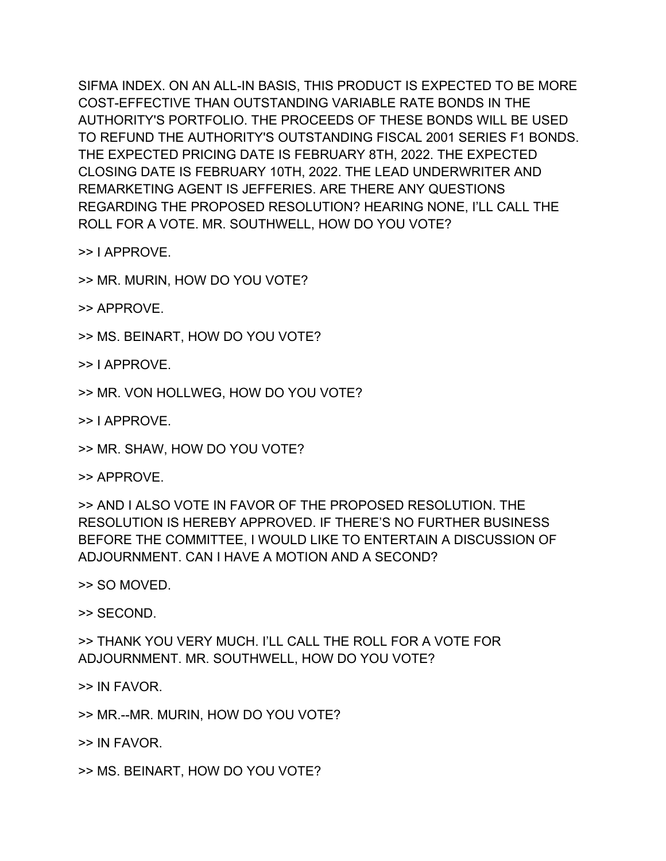SIFMA INDEX. ON AN ALL-IN BASIS, THIS PRODUCT IS EXPECTED TO BE MORE COST-EFFECTIVE THAN OUTSTANDING VARIABLE RATE BONDS IN THE AUTHORITY'S PORTFOLIO. THE PROCEEDS OF THESE BONDS WILL BE USED TO REFUND THE AUTHORITY'S OUTSTANDING FISCAL 2001 SERIES F1 BONDS. THE EXPECTED PRICING DATE IS FEBRUARY 8TH, 2022. THE EXPECTED CLOSING DATE IS FEBRUARY 10TH, 2022. THE LEAD UNDERWRITER AND REMARKETING AGENT IS JEFFERIES. ARE THERE ANY QUESTIONS REGARDING THE PROPOSED RESOLUTION? HEARING NONE, I'LL CALL THE ROLL FOR A VOTE. MR. SOUTHWELL, HOW DO YOU VOTE?

>> I APPROVE.

>> MR. MURIN, HOW DO YOU VOTE?

>> APPROVE.

>> MS. BEINART, HOW DO YOU VOTE?

>> I APPROVE.

>> MR. VON HOLLWEG, HOW DO YOU VOTE?

>> I APPROVE.

>> MR. SHAW, HOW DO YOU VOTE?

>> APPROVE.

>> AND I ALSO VOTE IN FAVOR OF THE PROPOSED RESOLUTION. THE RESOLUTION IS HEREBY APPROVED. IF THERE'S NO FURTHER BUSINESS BEFORE THE COMMITTEE, I WOULD LIKE TO ENTERTAIN A DISCUSSION OF ADJOURNMENT. CAN I HAVE A MOTION AND A SECOND?

>> SO MOVED.

>> SECOND.

>> THANK YOU VERY MUCH. I'LL CALL THE ROLL FOR A VOTE FOR ADJOURNMENT. MR. SOUTHWELL, HOW DO YOU VOTE?

>> IN FAVOR.

>> MR.--MR. MURIN, HOW DO YOU VOTE?

>> IN FAVOR.

>> MS. BEINART, HOW DO YOU VOTE?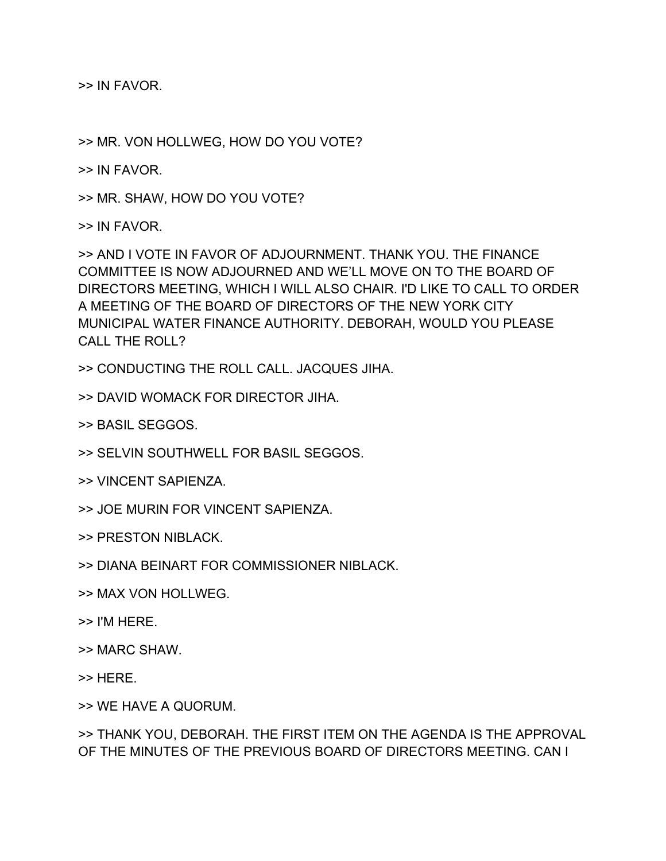>> IN FAVOR.

>> MR. VON HOLLWEG, HOW DO YOU VOTE?

>> IN FAVOR.

>> MR. SHAW, HOW DO YOU VOTE?

>> IN FAVOR.

>> AND I VOTE IN FAVOR OF ADJOURNMENT. THANK YOU. THE FINANCE COMMITTEE IS NOW ADJOURNED AND WE'LL MOVE ON TO THE BOARD OF DIRECTORS MEETING, WHICH I WILL ALSO CHAIR. I'D LIKE TO CALL TO ORDER A MEETING OF THE BOARD OF DIRECTORS OF THE NEW YORK CITY MUNICIPAL WATER FINANCE AUTHORITY. DEBORAH, WOULD YOU PLEASE CALL THE ROLL?

>> CONDUCTING THE ROLL CALL. JACQUES JIHA.

>> DAVID WOMACK FOR DIRECTOR JIHA.

>> BASIL SEGGOS.

>> SELVIN SOUTHWELL FOR BASIL SEGGOS.

>> VINCENT SAPIENZA.

>> JOE MURIN FOR VINCENT SAPIENZA.

>> PRESTON NIBLACK.

>> DIANA BEINART FOR COMMISSIONER NIBLACK.

>> MAX VON HOLLWEG.

>> I'M HERE.

>> MARC SHAW.

>> HERE.

>> WE HAVE A QUORUM.

>> THANK YOU, DEBORAH. THE FIRST ITEM ON THE AGENDA IS THE APPROVAL OF THE MINUTES OF THE PREVIOUS BOARD OF DIRECTORS MEETING. CAN I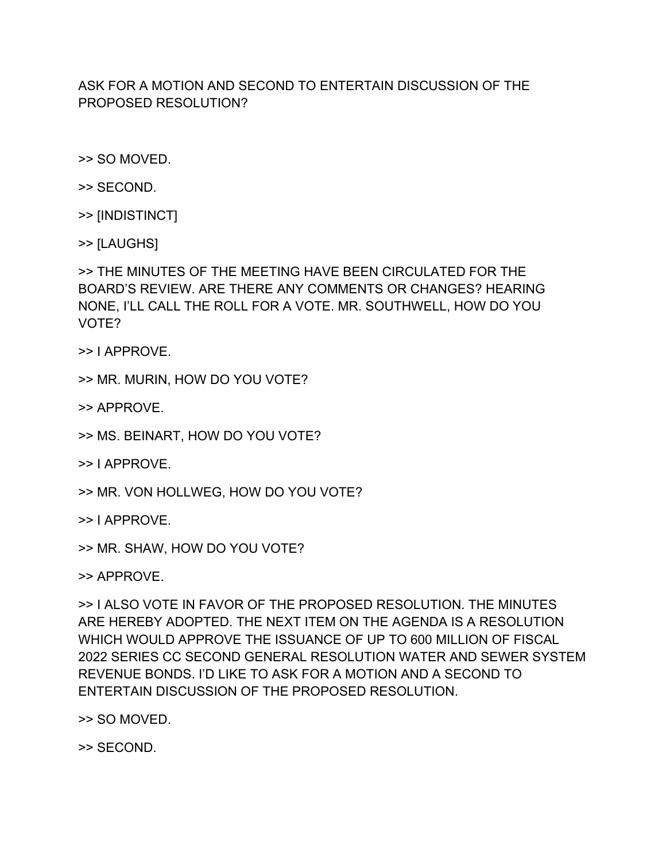## ASK FOR A MOTION AND SECOND TO ENTERTAIN DISCUSSION OF THE PROPOSED RESOLUTION?

>> SO MOVED.

- >> SECOND.
- >> [INDISTINCT]
- >> [LAUGHS]

>> THE MINUTES OF THE MEETING HAVE BEEN CIRCULATED FOR THE BOARD'S REVIEW. ARE THERE ANY COMMENTS OR CHANGES? HEARING NONE, I'LL CALL THE ROLL FOR A VOTE. MR. SOUTHWELL, HOW DO YOU VOTE?

>> I APPROVE.

>> MR. MURIN, HOW DO YOU VOTE?

>> APPROVE.

- >> MS. BEINART, HOW DO YOU VOTE?
- >> I APPROVE.
- >> MR. VON HOLLWEG, HOW DO YOU VOTE?
- >> I APPROVE.
- >> MR. SHAW, HOW DO YOU VOTE?

>> APPROVE.

>> I ALSO VOTE IN FAVOR OF THE PROPOSED RESOLUTION. THE MINUTES ARE HEREBY ADOPTED. THE NEXT ITEM ON THE AGENDA IS A RESOLUTION WHICH WOULD APPROVE THE ISSUANCE OF UP TO 600 MILLION OF FISCAL 2022 SERIES CC SECOND GENERAL RESOLUTION WATER AND SEWER SYSTEM REVENUE BONDS. I'D LIKE TO ASK FOR A MOTION AND A SECOND TO ENTERTAIN DISCUSSION OF THE PROPOSED RESOLUTION.

>> SO MOVED.

>> SECOND.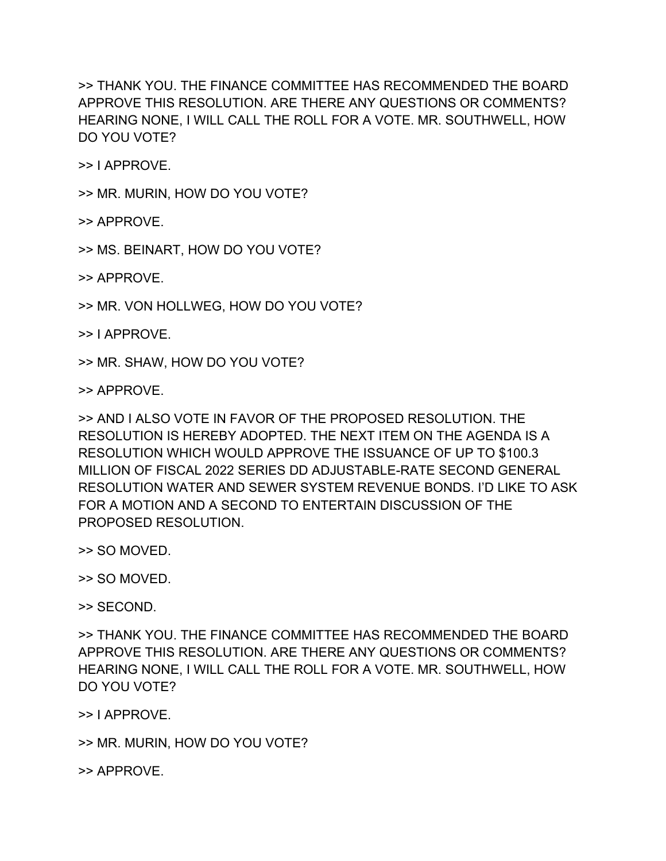>> THANK YOU. THE FINANCE COMMITTEE HAS RECOMMENDED THE BOARD APPROVE THIS RESOLUTION. ARE THERE ANY QUESTIONS OR COMMENTS? HEARING NONE, I WILL CALL THE ROLL FOR A VOTE. MR. SOUTHWELL, HOW DO YOU VOTE?

>> I APPROVE.

>> MR. MURIN, HOW DO YOU VOTE?

>> APPROVE.

>> MS. BEINART, HOW DO YOU VOTE?

>> APPROVE.

>> MR. VON HOLLWEG, HOW DO YOU VOTE?

>> I APPROVE.

>> MR. SHAW, HOW DO YOU VOTE?

>> APPROVE.

>> AND I ALSO VOTE IN FAVOR OF THE PROPOSED RESOLUTION. THE RESOLUTION IS HEREBY ADOPTED. THE NEXT ITEM ON THE AGENDA IS A RESOLUTION WHICH WOULD APPROVE THE ISSUANCE OF UP TO \$100.3 MILLION OF FISCAL 2022 SERIES DD ADJUSTABLE-RATE SECOND GENERAL RESOLUTION WATER AND SEWER SYSTEM REVENUE BONDS. I'D LIKE TO ASK FOR A MOTION AND A SECOND TO ENTERTAIN DISCUSSION OF THE PROPOSED RESOLUTION.

>> SO MOVED.

>> SO MOVED.

>> SECOND.

>> THANK YOU. THE FINANCE COMMITTEE HAS RECOMMENDED THE BOARD APPROVE THIS RESOLUTION. ARE THERE ANY QUESTIONS OR COMMENTS? HEARING NONE, I WILL CALL THE ROLL FOR A VOTE. MR. SOUTHWELL, HOW DO YOU VOTE?

>> I APPROVE.

>> MR. MURIN, HOW DO YOU VOTE?

>> APPROVE.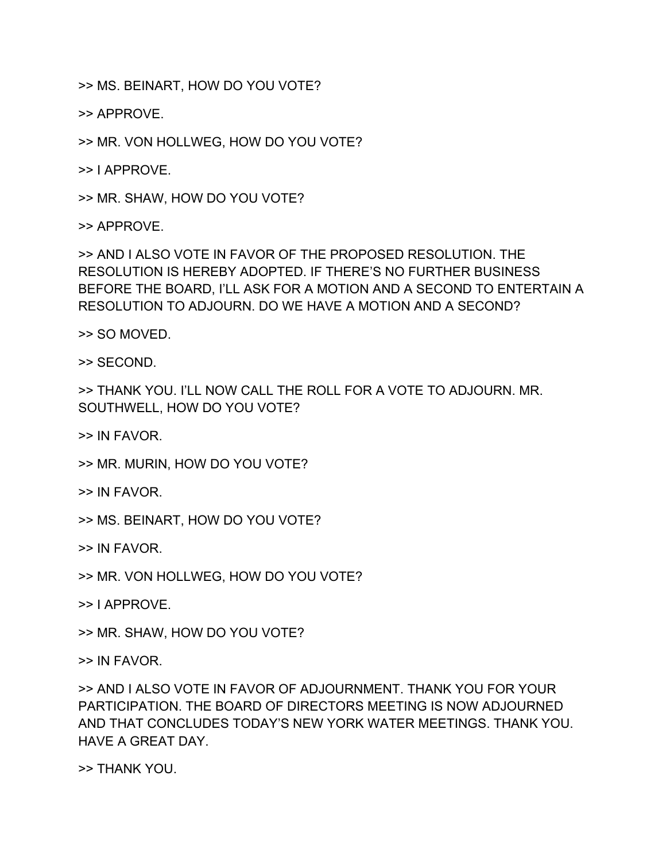>> MS. BEINART, HOW DO YOU VOTE?

>> APPROVE.

>> MR. VON HOLLWEG, HOW DO YOU VOTE?

>> I APPROVE.

>> MR. SHAW, HOW DO YOU VOTE?

>> APPROVE.

>> AND I ALSO VOTE IN FAVOR OF THE PROPOSED RESOLUTION. THE RESOLUTION IS HEREBY ADOPTED. IF THERE'S NO FURTHER BUSINESS BEFORE THE BOARD, I'LL ASK FOR A MOTION AND A SECOND TO ENTERTAIN A RESOLUTION TO ADJOURN. DO WE HAVE A MOTION AND A SECOND?

>> SO MOVED.

>> SECOND.

>> THANK YOU. I'LL NOW CALL THE ROLL FOR A VOTE TO ADJOURN. MR. SOUTHWELL, HOW DO YOU VOTE?

>> IN FAVOR.

- >> MR. MURIN, HOW DO YOU VOTE?
- >> IN FAVOR.
- >> MS. BEINART, HOW DO YOU VOTE?

>> IN FAVOR.

- >> MR. VON HOLLWEG, HOW DO YOU VOTE?
- >> I APPROVE.
- >> MR. SHAW, HOW DO YOU VOTE?

>> IN FAVOR.

>> AND I ALSO VOTE IN FAVOR OF ADJOURNMENT. THANK YOU FOR YOUR PARTICIPATION. THE BOARD OF DIRECTORS MEETING IS NOW ADJOURNED AND THAT CONCLUDES TODAY'S NEW YORK WATER MEETINGS. THANK YOU. HAVE A GREAT DAY.

>> THANK YOU.